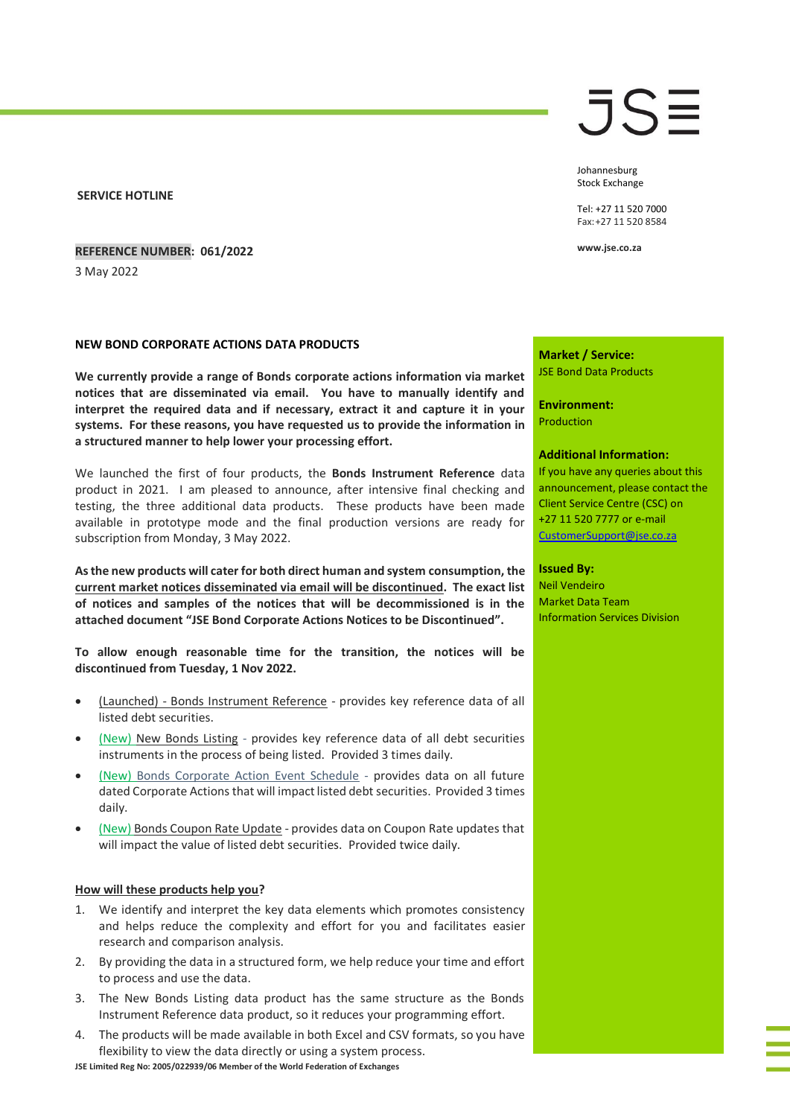**SERVICE HOTLINE**

**REFERENCE NUMBER: 061/2022** 3 May 2022

### **NEW BOND CORPORATE ACTIONS DATA PRODUCTS**

**We currently provide a range of Bonds corporate actions information via market notices that are disseminated via email. You have to manually identify and interpret the required data and if necessary, extract it and capture it in your systems. For these reasons, you have requested us to provide the information in a structured manner to help lower your processing effort.**

We launched the first of four products, the **Bonds Instrument Reference** data product in 2021. I am pleased to announce, after intensive final checking and testing, the three additional data products. These products have been made available in prototype mode and the final production versions are ready for subscription from Monday, 3 May 2022.

**As the new products will cater for both direct human and system consumption, the current market notices disseminated via email will be discontinued. The exact list of notices and samples of the notices that will be decommissioned is in the attached document "JSE Bond Corporate Actions Notices to be Discontinued".** 

**To allow enough reasonable time for the transition, the notices will be discontinued from Tuesday, 1 Nov 2022.** 

- (Launched) Bonds Instrument Reference provides key reference data of all listed debt securities.
- (New) New Bonds Listing provides key reference data of all debt securities instruments in the process of being listed. Provided 3 times daily.
- (New) Bonds Corporate Action Event Schedule provides data on all future dated Corporate Actions that will impact listed debt securities. Provided 3 times daily.
- (New) Bonds Coupon Rate Update provides data on Coupon Rate updates that will impact the value of listed debt securities. Provided twice daily.

### **How will these products help you?**

- 1. We identify and interpret the key data elements which promotes consistency and helps reduce the complexity and effort for you and facilitates easier research and comparison analysis.
- 2. By providing the data in a structured form, we help reduce your time and effort to process and use the data.
- 3. The New Bonds Listing data product has the same structure as the Bonds Instrument Reference data product, so it reduces your programming effort.
- 4. The products will be made available in both Excel and CSV formats, so you have flexibility to view the data directly or using a system process.

**JSE Limited Reg No: 2005/022939/06 Member of the World Federation of Exchanges**

# JSE

Johannesburg Stock Exchange

Tel: +27 11 520 7000 Fax:+27 11 520 8584

**www.jse.co.za**

**Market / Service:** JSE Bond Data Products

**Environment:** Production

#### **Additional Information:**

If you have any queries about this announcement, please contact the Client Service Centre (CSC) on +27 11 520 7777 or e-mail [CustomerSupport@jse.co.za](mailto:CustomerSupport@jse.co.za)

#### **Issued By:**

Neil Vendeiro Market Data Team Information Services Division